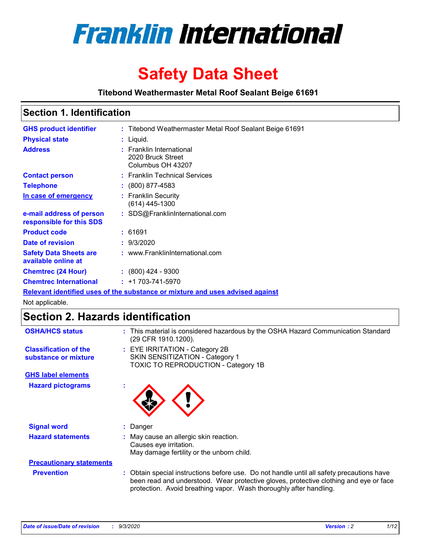

# **Safety Data Sheet**

**Titebond Weathermaster Metal Roof Sealant Beige 61691**

### **Section 1. Identification**

| <b>GHS product identifier</b>                                                 |  | : Titebond Weathermaster Metal Roof Sealant Beige 61691            |  |  |
|-------------------------------------------------------------------------------|--|--------------------------------------------------------------------|--|--|
| <b>Physical state</b>                                                         |  | $:$ Liquid.                                                        |  |  |
| <b>Address</b>                                                                |  | : Franklin International<br>2020 Bruck Street<br>Columbus OH 43207 |  |  |
| <b>Contact person</b>                                                         |  | : Franklin Technical Services                                      |  |  |
| <b>Telephone</b>                                                              |  | $\div$ (800) 877-4583                                              |  |  |
| In case of emergency                                                          |  | : Franklin Security<br>(614) 445-1300                              |  |  |
| e-mail address of person<br>responsible for this SDS                          |  | : SDS@FranklinInternational.com                                    |  |  |
| <b>Product code</b>                                                           |  | : 61691                                                            |  |  |
| Date of revision                                                              |  | : 9/3/2020                                                         |  |  |
| <b>Safety Data Sheets are</b><br>available online at                          |  | : www.FranklinInternational.com                                    |  |  |
| <b>Chemtrec (24 Hour)</b>                                                     |  | $\div$ (800) 424 - 9300                                            |  |  |
| <b>Chemtrec International</b>                                                 |  | $: +1703 - 741 - 5970$                                             |  |  |
| Relevant identified uses of the substance or mixture and uses advised against |  |                                                                    |  |  |

Not applicable.

## **Section 2. Hazards identification**

| <b>OSHA/HCS status</b>                               |    | : This material is considered hazardous by the OSHA Hazard Communication Standard<br>(29 CFR 1910.1200).                                                                                                                                                 |
|------------------------------------------------------|----|----------------------------------------------------------------------------------------------------------------------------------------------------------------------------------------------------------------------------------------------------------|
| <b>Classification of the</b><br>substance or mixture |    | : EYE IRRITATION - Category 2B<br>SKIN SENSITIZATION - Category 1<br>TOXIC TO REPRODUCTION - Category 1B                                                                                                                                                 |
| <b>GHS label elements</b>                            |    |                                                                                                                                                                                                                                                          |
| <b>Hazard pictograms</b>                             | ×. |                                                                                                                                                                                                                                                          |
| <b>Signal word</b>                                   | ÷. | Danger                                                                                                                                                                                                                                                   |
| <b>Hazard statements</b>                             |    | May cause an allergic skin reaction.<br>Causes eye irritation.<br>May damage fertility or the unborn child.                                                                                                                                              |
| <b>Precautionary statements</b>                      |    |                                                                                                                                                                                                                                                          |
| <b>Prevention</b>                                    |    | : Obtain special instructions before use. Do not handle until all safety precautions have<br>been read and understood. Wear protective gloves, protective clothing and eye or face<br>protection. Avoid breathing vapor. Wash thoroughly after handling. |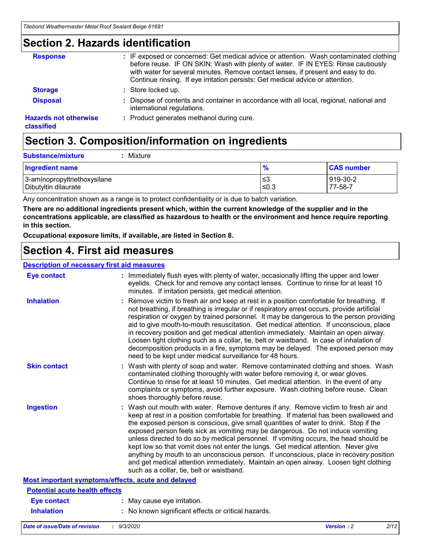### **Section 2. Hazards identification**

| <b>Response</b>                            | : IF exposed or concerned: Get medical advice or attention. Wash contaminated clothing<br>before reuse. IF ON SKIN: Wash with plenty of water. IF IN EYES: Rinse cautiously<br>with water for several minutes. Remove contact lenses, if present and easy to do.<br>Continue rinsing. If eye irritation persists: Get medical advice or attention. |
|--------------------------------------------|----------------------------------------------------------------------------------------------------------------------------------------------------------------------------------------------------------------------------------------------------------------------------------------------------------------------------------------------------|
| <b>Storage</b>                             | : Store locked up.                                                                                                                                                                                                                                                                                                                                 |
| <b>Disposal</b>                            | : Dispose of contents and container in accordance with all local, regional, national and<br>international regulations.                                                                                                                                                                                                                             |
| <b>Hazards not otherwise</b><br>classified | : Product generates methanol during cure.                                                                                                                                                                                                                                                                                                          |

## **Section 3. Composition/information on ingredients**

| <b>Substance/mixture</b> | Mixture |
|--------------------------|---------|
|                          |         |

| <b>Ingredient name</b>       | $\frac{9}{6}$ | <b>CAS number</b> |
|------------------------------|---------------|-------------------|
| 3-aminopropyltriethoxysilane | ≤3            | 919-30-2          |
| Dibutyltin dilaurate         | ∣≤0.3         | 77-58-7           |

Any concentration shown as a range is to protect confidentiality or is due to batch variation.

**There are no additional ingredients present which, within the current knowledge of the supplier and in the concentrations applicable, are classified as hazardous to health or the environment and hence require reporting in this section.**

**Occupational exposure limits, if available, are listed in Section 8.**

### **Section 4. First aid measures**

| <b>Description of necessary first aid measures</b> |                                                                                                                                                                                                                                                                                                                                                                                                                                                                                                                                                                                                                                                                                                                                                                           |
|----------------------------------------------------|---------------------------------------------------------------------------------------------------------------------------------------------------------------------------------------------------------------------------------------------------------------------------------------------------------------------------------------------------------------------------------------------------------------------------------------------------------------------------------------------------------------------------------------------------------------------------------------------------------------------------------------------------------------------------------------------------------------------------------------------------------------------------|
| <b>Eye contact</b>                                 | : Immediately flush eyes with plenty of water, occasionally lifting the upper and lower<br>eyelids. Check for and remove any contact lenses. Continue to rinse for at least 10<br>minutes. If irritation persists, get medical attention.                                                                                                                                                                                                                                                                                                                                                                                                                                                                                                                                 |
| <b>Inhalation</b>                                  | : Remove victim to fresh air and keep at rest in a position comfortable for breathing. If<br>not breathing, if breathing is irregular or if respiratory arrest occurs, provide artificial<br>respiration or oxygen by trained personnel. It may be dangerous to the person providing<br>aid to give mouth-to-mouth resuscitation. Get medical attention. If unconscious, place<br>in recovery position and get medical attention immediately. Maintain an open airway.<br>Loosen tight clothing such as a collar, tie, belt or waistband. In case of inhalation of<br>decomposition products in a fire, symptoms may be delayed. The exposed person may<br>need to be kept under medical surveillance for 48 hours.                                                       |
| <b>Skin contact</b>                                | : Wash with plenty of soap and water. Remove contaminated clothing and shoes. Wash<br>contaminated clothing thoroughly with water before removing it, or wear gloves.<br>Continue to rinse for at least 10 minutes. Get medical attention. In the event of any<br>complaints or symptoms, avoid further exposure. Wash clothing before reuse. Clean<br>shoes thoroughly before reuse.                                                                                                                                                                                                                                                                                                                                                                                     |
| <b>Ingestion</b>                                   | : Wash out mouth with water. Remove dentures if any. Remove victim to fresh air and<br>keep at rest in a position comfortable for breathing. If material has been swallowed and<br>the exposed person is conscious, give small quantities of water to drink. Stop if the<br>exposed person feels sick as vomiting may be dangerous. Do not induce vomiting<br>unless directed to do so by medical personnel. If vomiting occurs, the head should be<br>kept low so that vomit does not enter the lungs. Get medical attention. Never give<br>anything by mouth to an unconscious person. If unconscious, place in recovery position<br>and get medical attention immediately. Maintain an open airway. Loosen tight clothing<br>such as a collar, tie, belt or waistband. |
| Most important symptoms/effects, acute and delayed |                                                                                                                                                                                                                                                                                                                                                                                                                                                                                                                                                                                                                                                                                                                                                                           |
| <b>Potential acute health effects</b>              |                                                                                                                                                                                                                                                                                                                                                                                                                                                                                                                                                                                                                                                                                                                                                                           |
| Eye contact                                        | : May cause eye irritation.                                                                                                                                                                                                                                                                                                                                                                                                                                                                                                                                                                                                                                                                                                                                               |
| <b>Inhalation</b>                                  | : No known significant effects or critical hazards.                                                                                                                                                                                                                                                                                                                                                                                                                                                                                                                                                                                                                                                                                                                       |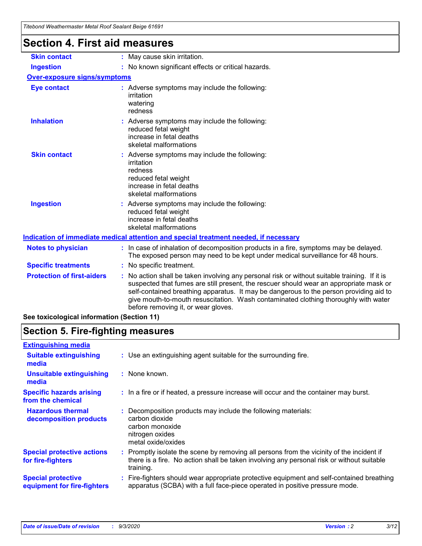| <u>Hiebona Wealhenhasier MelarNoor Sealahl Belge 01091</u> |                                                                                                                                                                                                                                                                                                                                                                                                                 |
|------------------------------------------------------------|-----------------------------------------------------------------------------------------------------------------------------------------------------------------------------------------------------------------------------------------------------------------------------------------------------------------------------------------------------------------------------------------------------------------|
| Section 4. First aid measures                              |                                                                                                                                                                                                                                                                                                                                                                                                                 |
| <b>Skin contact</b>                                        | : May cause skin irritation.                                                                                                                                                                                                                                                                                                                                                                                    |
| <b>Ingestion</b>                                           | : No known significant effects or critical hazards.                                                                                                                                                                                                                                                                                                                                                             |
| <b>Over-exposure signs/symptoms</b>                        |                                                                                                                                                                                                                                                                                                                                                                                                                 |
| <b>Eye contact</b>                                         | : Adverse symptoms may include the following:<br>irritation<br>watering<br>redness                                                                                                                                                                                                                                                                                                                              |
| <b>Inhalation</b>                                          | : Adverse symptoms may include the following:<br>reduced fetal weight<br>increase in fetal deaths<br>skeletal malformations                                                                                                                                                                                                                                                                                     |
| <b>Skin contact</b>                                        | : Adverse symptoms may include the following:<br>irritation<br>redness<br>reduced fetal weight<br>increase in fetal deaths<br>skeletal malformations                                                                                                                                                                                                                                                            |
| <b>Ingestion</b>                                           | : Adverse symptoms may include the following:<br>reduced fetal weight<br>increase in fetal deaths<br>skeletal malformations                                                                                                                                                                                                                                                                                     |
|                                                            | Indication of immediate medical attention and special treatment needed, if necessary                                                                                                                                                                                                                                                                                                                            |
| <b>Notes to physician</b>                                  | : In case of inhalation of decomposition products in a fire, symptoms may be delayed.<br>The exposed person may need to be kept under medical surveillance for 48 hours.                                                                                                                                                                                                                                        |
| <b>Specific treatments</b>                                 | : No specific treatment.                                                                                                                                                                                                                                                                                                                                                                                        |
| <b>Protection of first-aiders</b>                          | : No action shall be taken involving any personal risk or without suitable training. If it is<br>suspected that fumes are still present, the rescuer should wear an appropriate mask or<br>self-contained breathing apparatus. It may be dangerous to the person providing aid to<br>give mouth-to-mouth resuscitation. Wash contaminated clothing thoroughly with water<br>before removing it, or wear gloves. |

**See toxicological information (Section 11)**

## **Section 5. Fire-fighting measures**

| <b>Extinguishing media</b>                               |                                                                                                                                                                                                     |
|----------------------------------------------------------|-----------------------------------------------------------------------------------------------------------------------------------------------------------------------------------------------------|
| <b>Suitable extinguishing</b><br>media                   | : Use an extinguishing agent suitable for the surrounding fire.                                                                                                                                     |
| <b>Unsuitable extinguishing</b><br>media                 | : None known.                                                                                                                                                                                       |
| <b>Specific hazards arising</b><br>from the chemical     | : In a fire or if heated, a pressure increase will occur and the container may burst.                                                                                                               |
| <b>Hazardous thermal</b><br>decomposition products       | : Decomposition products may include the following materials:<br>carbon dioxide<br>carbon monoxide<br>nitrogen oxides<br>metal oxide/oxides                                                         |
| <b>Special protective actions</b><br>for fire-fighters   | : Promptly isolate the scene by removing all persons from the vicinity of the incident if<br>there is a fire. No action shall be taken involving any personal risk or without suitable<br>training. |
| <b>Special protective</b><br>equipment for fire-fighters | Fire-fighters should wear appropriate protective equipment and self-contained breathing<br>apparatus (SCBA) with a full face-piece operated in positive pressure mode.                              |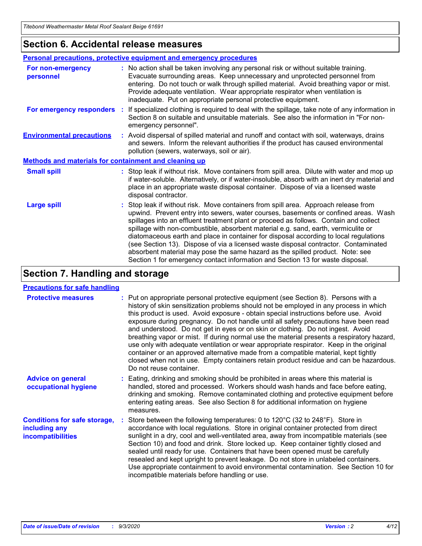### **Section 6. Accidental release measures**

|                                                              | <b>Personal precautions, protective equipment and emergency procedures</b>                                                                                                                                                                                                                                                                                                                                                                                                                                                                                                                                                                                                                                   |  |  |  |
|--------------------------------------------------------------|--------------------------------------------------------------------------------------------------------------------------------------------------------------------------------------------------------------------------------------------------------------------------------------------------------------------------------------------------------------------------------------------------------------------------------------------------------------------------------------------------------------------------------------------------------------------------------------------------------------------------------------------------------------------------------------------------------------|--|--|--|
| For non-emergency<br>personnel                               | : No action shall be taken involving any personal risk or without suitable training.<br>Evacuate surrounding areas. Keep unnecessary and unprotected personnel from<br>entering. Do not touch or walk through spilled material. Avoid breathing vapor or mist.<br>Provide adequate ventilation. Wear appropriate respirator when ventilation is<br>inadequate. Put on appropriate personal protective equipment.                                                                                                                                                                                                                                                                                             |  |  |  |
| For emergency responders                                     | : If specialized clothing is required to deal with the spillage, take note of any information in<br>Section 8 on suitable and unsuitable materials. See also the information in "For non-<br>emergency personnel".                                                                                                                                                                                                                                                                                                                                                                                                                                                                                           |  |  |  |
| <b>Environmental precautions</b>                             | : Avoid dispersal of spilled material and runoff and contact with soil, waterways, drains<br>and sewers. Inform the relevant authorities if the product has caused environmental<br>pollution (sewers, waterways, soil or air).                                                                                                                                                                                                                                                                                                                                                                                                                                                                              |  |  |  |
| <b>Methods and materials for containment and cleaning up</b> |                                                                                                                                                                                                                                                                                                                                                                                                                                                                                                                                                                                                                                                                                                              |  |  |  |
| <b>Small spill</b>                                           | : Stop leak if without risk. Move containers from spill area. Dilute with water and mop up<br>if water-soluble. Alternatively, or if water-insoluble, absorb with an inert dry material and<br>place in an appropriate waste disposal container. Dispose of via a licensed waste<br>disposal contractor.                                                                                                                                                                                                                                                                                                                                                                                                     |  |  |  |
| <b>Large spill</b>                                           | : Stop leak if without risk. Move containers from spill area. Approach release from<br>upwind. Prevent entry into sewers, water courses, basements or confined areas. Wash<br>spillages into an effluent treatment plant or proceed as follows. Contain and collect<br>spillage with non-combustible, absorbent material e.g. sand, earth, vermiculite or<br>diatomaceous earth and place in container for disposal according to local regulations<br>(see Section 13). Dispose of via a licensed waste disposal contractor. Contaminated<br>absorbent material may pose the same hazard as the spilled product. Note: see<br>Section 1 for emergency contact information and Section 13 for waste disposal. |  |  |  |

## **Section 7. Handling and storage**

#### **Precautions for safe handling**

| <b>Protective measures</b>                                                       | : Put on appropriate personal protective equipment (see Section 8). Persons with a<br>history of skin sensitization problems should not be employed in any process in which<br>this product is used. Avoid exposure - obtain special instructions before use. Avoid<br>exposure during pregnancy. Do not handle until all safety precautions have been read<br>and understood. Do not get in eyes or on skin or clothing. Do not ingest. Avoid<br>breathing vapor or mist. If during normal use the material presents a respiratory hazard,<br>use only with adequate ventilation or wear appropriate respirator. Keep in the original<br>container or an approved alternative made from a compatible material, kept tightly<br>closed when not in use. Empty containers retain product residue and can be hazardous.<br>Do not reuse container. |
|----------------------------------------------------------------------------------|--------------------------------------------------------------------------------------------------------------------------------------------------------------------------------------------------------------------------------------------------------------------------------------------------------------------------------------------------------------------------------------------------------------------------------------------------------------------------------------------------------------------------------------------------------------------------------------------------------------------------------------------------------------------------------------------------------------------------------------------------------------------------------------------------------------------------------------------------|
| <b>Advice on general</b><br>occupational hygiene                                 | : Eating, drinking and smoking should be prohibited in areas where this material is<br>handled, stored and processed. Workers should wash hands and face before eating,<br>drinking and smoking. Remove contaminated clothing and protective equipment before<br>entering eating areas. See also Section 8 for additional information on hygiene<br>measures.                                                                                                                                                                                                                                                                                                                                                                                                                                                                                    |
| <b>Conditions for safe storage,</b><br>including any<br><i>incompatibilities</i> | Store between the following temperatures: 0 to 120°C (32 to 248°F). Store in<br>accordance with local regulations. Store in original container protected from direct<br>sunlight in a dry, cool and well-ventilated area, away from incompatible materials (see<br>Section 10) and food and drink. Store locked up. Keep container tightly closed and<br>sealed until ready for use. Containers that have been opened must be carefully<br>resealed and kept upright to prevent leakage. Do not store in unlabeled containers.<br>Use appropriate containment to avoid environmental contamination. See Section 10 for<br>incompatible materials before handling or use.                                                                                                                                                                         |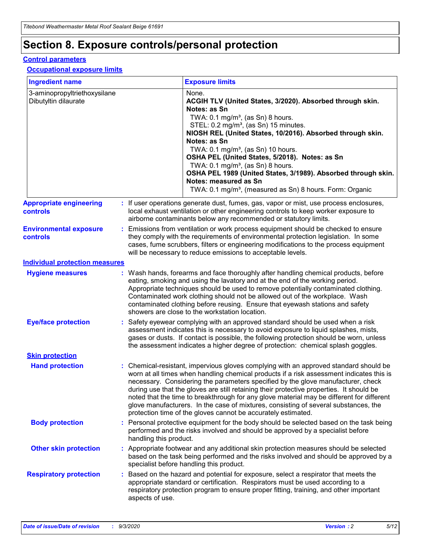## **Section 8. Exposure controls/personal protection**

#### **Control parameters**

#### **Occupational exposure limits**

| <b>Ingredient name</b>                               |    |                        | <b>Exposure limits</b>                                                                                                                                                                                                                                                                                                                                                                                                                                                                                                                                                                                                 |
|------------------------------------------------------|----|------------------------|------------------------------------------------------------------------------------------------------------------------------------------------------------------------------------------------------------------------------------------------------------------------------------------------------------------------------------------------------------------------------------------------------------------------------------------------------------------------------------------------------------------------------------------------------------------------------------------------------------------------|
| 3-aminopropyltriethoxysilane<br>Dibutyltin dilaurate |    |                        | None.<br>ACGIH TLV (United States, 3/2020). Absorbed through skin.<br>Notes: as Sn<br>TWA: $0.1 \text{ mg/m}^3$ , (as Sn) 8 hours.<br>STEL: 0.2 mg/m <sup>3</sup> , (as Sn) 15 minutes.<br>NIOSH REL (United States, 10/2016). Absorbed through skin.<br>Notes: as Sn<br>TWA: 0.1 mg/m <sup>3</sup> , (as Sn) 10 hours.<br>OSHA PEL (United States, 5/2018). Notes: as Sn<br>TWA: $0.1 \text{ mg/m}^3$ , (as Sn) 8 hours.<br>OSHA PEL 1989 (United States, 3/1989). Absorbed through skin.<br>Notes: measured as Sn<br>TWA: 0.1 mg/m <sup>3</sup> , (measured as Sn) 8 hours. Form: Organic                            |
| <b>Appropriate engineering</b><br>controls           |    |                        | : If user operations generate dust, fumes, gas, vapor or mist, use process enclosures,<br>local exhaust ventilation or other engineering controls to keep worker exposure to<br>airborne contaminants below any recommended or statutory limits.                                                                                                                                                                                                                                                                                                                                                                       |
| <b>Environmental exposure</b><br>controls            |    |                        | Emissions from ventilation or work process equipment should be checked to ensure<br>they comply with the requirements of environmental protection legislation. In some<br>cases, fume scrubbers, filters or engineering modifications to the process equipment<br>will be necessary to reduce emissions to acceptable levels.                                                                                                                                                                                                                                                                                          |
| <b>Individual protection measures</b>                |    |                        |                                                                                                                                                                                                                                                                                                                                                                                                                                                                                                                                                                                                                        |
| <b>Hygiene measures</b>                              |    |                        | : Wash hands, forearms and face thoroughly after handling chemical products, before<br>eating, smoking and using the lavatory and at the end of the working period.<br>Appropriate techniques should be used to remove potentially contaminated clothing.<br>Contaminated work clothing should not be allowed out of the workplace. Wash<br>contaminated clothing before reusing. Ensure that eyewash stations and safety<br>showers are close to the workstation location.                                                                                                                                            |
| <b>Eye/face protection</b>                           |    |                        | : Safety eyewear complying with an approved standard should be used when a risk<br>assessment indicates this is necessary to avoid exposure to liquid splashes, mists,<br>gases or dusts. If contact is possible, the following protection should be worn, unless<br>the assessment indicates a higher degree of protection: chemical splash goggles.                                                                                                                                                                                                                                                                  |
| <b>Skin protection</b>                               |    |                        |                                                                                                                                                                                                                                                                                                                                                                                                                                                                                                                                                                                                                        |
| <b>Hand protection</b>                               |    |                        | : Chemical-resistant, impervious gloves complying with an approved standard should be<br>worn at all times when handling chemical products if a risk assessment indicates this is<br>necessary. Considering the parameters specified by the glove manufacturer, check<br>during use that the gloves are still retaining their protective properties. It should be<br>noted that the time to breakthrough for any glove material may be different for different<br>glove manufacturers. In the case of mixtures, consisting of several substances, the<br>protection time of the gloves cannot be accurately estimated. |
| <b>Body protection</b>                               |    | handling this product. | Personal protective equipment for the body should be selected based on the task being<br>performed and the risks involved and should be approved by a specialist before                                                                                                                                                                                                                                                                                                                                                                                                                                                |
| <b>Other skin protection</b>                         |    |                        | : Appropriate footwear and any additional skin protection measures should be selected<br>based on the task being performed and the risks involved and should be approved by a<br>specialist before handling this product.                                                                                                                                                                                                                                                                                                                                                                                              |
| <b>Respiratory protection</b>                        | ÷. | aspects of use.        | Based on the hazard and potential for exposure, select a respirator that meets the<br>appropriate standard or certification. Respirators must be used according to a<br>respiratory protection program to ensure proper fitting, training, and other important                                                                                                                                                                                                                                                                                                                                                         |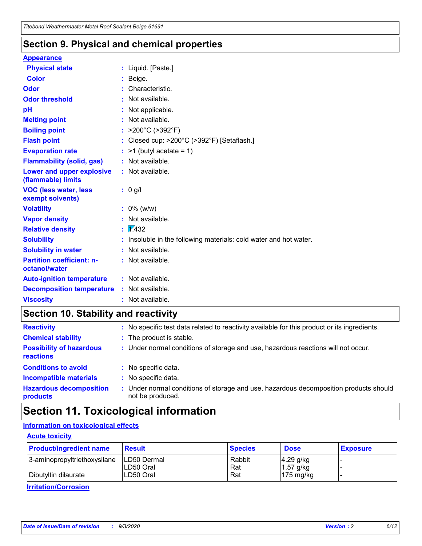### **Section 9. Physical and chemical properties**

#### **Appearance**

| <b>Physical state</b>                             | : Liquid. [Paste.]                                              |
|---------------------------------------------------|-----------------------------------------------------------------|
| <b>Color</b>                                      | Beige.                                                          |
| Odor                                              | Characteristic.                                                 |
| <b>Odor threshold</b>                             | Not available.                                                  |
| рH                                                | Not applicable.                                                 |
| <b>Melting point</b>                              | : Not available.                                                |
| <b>Boiling point</b>                              | >200°C (>392°F)                                                 |
| <b>Flash point</b>                                | Closed cup: >200°C (>392°F) [Setaflash.]                        |
| <b>Evaporation rate</b>                           | $:$ >1 (butyl acetate = 1)                                      |
| <b>Flammability (solid, gas)</b>                  | : Not available.                                                |
| Lower and upper explosive<br>(flammable) limits   | : Not available.                                                |
| <b>VOC (less water, less)</b><br>exempt solvents) | : 0 g/l                                                         |
| <b>Volatility</b>                                 | $: 0\%$ (w/w)                                                   |
| <b>Vapor density</b>                              | Not available.                                                  |
| <b>Relative density</b>                           | $\mathbf{1}$ $\mathbf{\sqrt{432}}$                              |
| <b>Solubility</b>                                 | Insoluble in the following materials: cold water and hot water. |
| <b>Solubility in water</b>                        | Not available.                                                  |
| <b>Partition coefficient: n-</b><br>octanol/water | $:$ Not available.                                              |
| <b>Auto-ignition temperature</b>                  | : Not available.                                                |
| <b>Decomposition temperature</b>                  | : Not available.                                                |
| <b>Viscosity</b>                                  | : Not available.                                                |

### **Section 10. Stability and reactivity**

| <b>Reactivity</b>                            |    | : No specific test data related to reactivity available for this product or its ingredients.            |
|----------------------------------------------|----|---------------------------------------------------------------------------------------------------------|
| <b>Chemical stability</b>                    |    | : The product is stable.                                                                                |
| <b>Possibility of hazardous</b><br>reactions |    | : Under normal conditions of storage and use, hazardous reactions will not occur.                       |
| <b>Conditions to avoid</b>                   |    | : No specific data.                                                                                     |
| <b>Incompatible materials</b>                | ٠. | No specific data.                                                                                       |
| <b>Hazardous decomposition</b><br>products   | ÷. | Under normal conditions of storage and use, hazardous decomposition products should<br>not be produced. |

## **Section 11. Toxicological information**

#### **Information on toxicological effects**

#### **Acute toxicity**

| <b>Product/ingredient name</b> | <b>Result</b>           | <b>Species</b> | <b>Dose</b>                | <b>Exposure</b> |
|--------------------------------|-------------------------|----------------|----------------------------|-----------------|
| 3-aminopropyltriethoxysilane   | <b>ILD50 Dermal</b>     | Rabbit         | 4.29 g/kg                  |                 |
| Dibutyltin dilaurate           | ILD50 Oral<br>LD50 Oral | Rat<br>Rat     | $1.57$ g/kg<br>175 $mg/kg$ |                 |
|                                |                         |                |                            |                 |

**Irritation/Corrosion**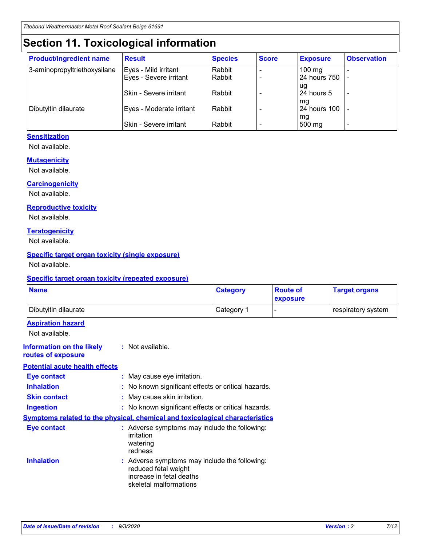## **Section 11. Toxicological information**

| <b>Product/ingredient name</b> | <b>Result</b>                 | <b>Species</b> | <b>Score</b> | <b>Exposure</b>    | <b>Observation</b> |
|--------------------------------|-------------------------------|----------------|--------------|--------------------|--------------------|
| 3-aminopropyltriethoxysilane   | Eyes - Mild irritant          | Rabbit         |              | $100$ mg           |                    |
|                                | Eyes - Severe irritant        | Rabbit         |              | 24 hours 750       |                    |
|                                |                               |                |              | ug                 |                    |
|                                | <b>Skin - Severe irritant</b> | Rabbit         |              | 24 hours 5         | ۰                  |
| Dibutyltin dilaurate           | Eyes - Moderate irritant      | Rabbit         |              | mq<br>24 hours 100 |                    |
|                                |                               |                |              | mg                 |                    |
|                                | Skin - Severe irritant        | Rabbit         |              | 500 mg             |                    |

#### **Sensitization**

Not available.

#### **Mutagenicity**

Not available.

#### **Carcinogenicity**

Not available.

#### **Reproductive toxicity**

Not available.

#### **Teratogenicity**

Not available.

#### **Specific target organ toxicity (single exposure)**

Not available.

#### **Specific target organ toxicity (repeated exposure)**

| <b>Name</b>                                                                         |                                                                            | <b>Category</b>                                     | <b>Route of</b><br>exposure | <b>Target organs</b> |  |  |
|-------------------------------------------------------------------------------------|----------------------------------------------------------------------------|-----------------------------------------------------|-----------------------------|----------------------|--|--|
| Dibutyltin dilaurate                                                                |                                                                            | Category 1                                          | -                           | respiratory system   |  |  |
| <b>Aspiration hazard</b><br>Not available.                                          |                                                                            |                                                     |                             |                      |  |  |
| <b>Information on the likely</b><br>routes of exposure                              | : Not available.                                                           |                                                     |                             |                      |  |  |
| <b>Potential acute health effects</b>                                               |                                                                            |                                                     |                             |                      |  |  |
| <b>Eye contact</b>                                                                  | : May cause eye irritation.                                                |                                                     |                             |                      |  |  |
| <b>Inhalation</b>                                                                   |                                                                            | : No known significant effects or critical hazards. |                             |                      |  |  |
| <b>Skin contact</b>                                                                 |                                                                            | : May cause skin irritation.                        |                             |                      |  |  |
| <b>Ingestion</b>                                                                    |                                                                            | : No known significant effects or critical hazards. |                             |                      |  |  |
| <b>Symptoms related to the physical, chemical and toxicological characteristics</b> |                                                                            |                                                     |                             |                      |  |  |
| <b>Eye contact</b>                                                                  | irritation<br>watering<br>redness                                          | : Adverse symptoms may include the following:       |                             |                      |  |  |
| <b>Inhalation</b>                                                                   | reduced fetal weight<br>increase in fetal deaths<br>skeletal malformations | : Adverse symptoms may include the following:       |                             |                      |  |  |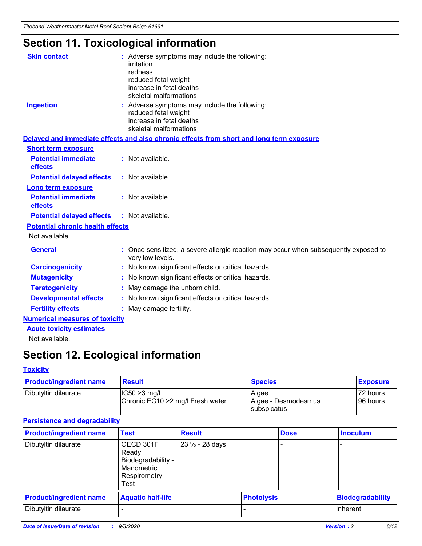*Titebond Weathermaster Metal Roof Sealant Beige 61691*

## **Section 11. Toxicological information**

| <b>Skin contact</b>                     | : Adverse symptoms may include the following:<br>irritation                                            |
|-----------------------------------------|--------------------------------------------------------------------------------------------------------|
|                                         | redness                                                                                                |
|                                         | reduced fetal weight                                                                                   |
|                                         | increase in fetal deaths                                                                               |
|                                         | skeletal malformations                                                                                 |
| <b>Ingestion</b>                        | : Adverse symptoms may include the following:<br>reduced fetal weight                                  |
|                                         | increase in fetal deaths                                                                               |
|                                         | skeletal malformations                                                                                 |
|                                         | Delayed and immediate effects and also chronic effects from short and long term exposure               |
| <b>Short term exposure</b>              |                                                                                                        |
| <b>Potential immediate</b><br>effects   | : Not available.                                                                                       |
| <b>Potential delayed effects</b>        | : Not available.                                                                                       |
| <b>Long term exposure</b>               |                                                                                                        |
| <b>Potential immediate</b><br>effects   | : Not available.                                                                                       |
| <b>Potential delayed effects</b>        | : Not available.                                                                                       |
| <b>Potential chronic health effects</b> |                                                                                                        |
| Not available.                          |                                                                                                        |
| <b>General</b>                          | Once sensitized, a severe allergic reaction may occur when subsequently exposed to<br>very low levels. |
| <b>Carcinogenicity</b>                  | No known significant effects or critical hazards.                                                      |
| <b>Mutagenicity</b>                     | : No known significant effects or critical hazards.                                                    |
| <b>Teratogenicity</b>                   | May damage the unborn child.                                                                           |
| <b>Developmental effects</b>            | : No known significant effects or critical hazards.                                                    |
| <b>Fertility effects</b>                | : May damage fertility.                                                                                |
| <b>Numerical measures of toxicity</b>   |                                                                                                        |
| <b>Acute toxicity estimates</b>         |                                                                                                        |
| Not ovoilable                           |                                                                                                        |

Not available.

## **Section 12. Ecological information**

#### **Toxicity**

| <b>Product/ingredient name</b> | <b>Result</b>                                       | <b>Species</b>               | <b>Exposure</b>       |
|--------------------------------|-----------------------------------------------------|------------------------------|-----------------------|
| Dibutyltin dilaurate           | $ CC50>3$ mg/l<br>Chronic EC10 > 2 mg/l Fresh water | Algae<br>Algae - Desmodesmus | 72 hours<br>196 hours |
|                                |                                                     | <b>I</b> subspicatus         |                       |

#### **Persistence and degradability**

| <b>Product/ingredient name</b> | <b>Test</b>                                                                    | <b>Result</b>  |                   | <b>Dose</b> | <b>Inoculum</b>         |
|--------------------------------|--------------------------------------------------------------------------------|----------------|-------------------|-------------|-------------------------|
| Dibutyltin dilaurate           | OECD 301F<br>Ready<br>Biodegradability -<br>Manometric<br>Respirometry<br>Test | 23 % - 28 days |                   |             |                         |
| <b>Product/ingredient name</b> | <b>Aquatic half-life</b>                                                       |                | <b>Photolysis</b> |             | <b>Biodegradability</b> |
| Dibutyltin dilaurate           |                                                                                |                |                   |             | <b>Inherent</b>         |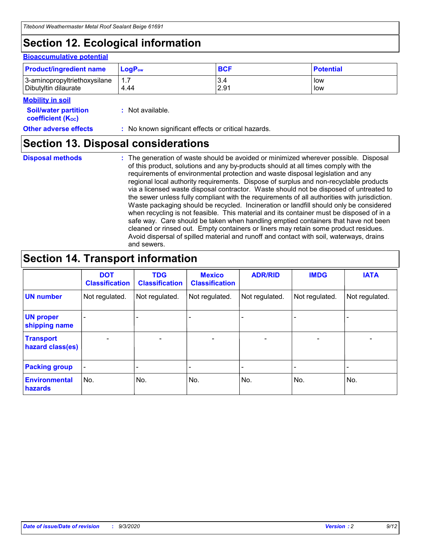## **Section 12. Ecological information**

#### **Bioaccumulative potential**

| <b>Product/ingredient name</b> | $LogPow$ | <b>BCF</b> | <b>Potential</b> |
|--------------------------------|----------|------------|------------------|
| 3-aminopropyltriethoxysilane   | 1.7      | 3.4        | low              |
| Dibutyltin dilaurate           | 4.44     | 2.91       | low              |

#### **Mobility in soil**

| IVIUWIIILY III JUII                                           |                                                     |
|---------------------------------------------------------------|-----------------------------------------------------|
| <b>Soil/water partition</b><br>coefficient (K <sub>oc</sub> ) | : Not available.                                    |
| <b>Other adverse effects</b>                                  | : No known significant effects or critical hazards. |

### **Section 13. Disposal considerations**

**Disposal methods :**

The generation of waste should be avoided or minimized wherever possible. Disposal of this product, solutions and any by-products should at all times comply with the requirements of environmental protection and waste disposal legislation and any regional local authority requirements. Dispose of surplus and non-recyclable products via a licensed waste disposal contractor. Waste should not be disposed of untreated to the sewer unless fully compliant with the requirements of all authorities with jurisdiction. Waste packaging should be recycled. Incineration or landfill should only be considered when recycling is not feasible. This material and its container must be disposed of in a safe way. Care should be taken when handling emptied containers that have not been cleaned or rinsed out. Empty containers or liners may retain some product residues. Avoid dispersal of spilled material and runoff and contact with soil, waterways, drains and sewers.

## **Section 14. Transport information**

|                                      | <b>DOT</b><br><b>Classification</b> | <b>TDG</b><br><b>Classification</b> | <b>Mexico</b><br><b>Classification</b> | <b>ADR/RID</b>           | <b>IMDG</b>              | <b>IATA</b>    |
|--------------------------------------|-------------------------------------|-------------------------------------|----------------------------------------|--------------------------|--------------------------|----------------|
| <b>UN number</b>                     | Not regulated.                      | Not regulated.                      | Not regulated.                         | Not regulated.           | Not regulated.           | Not regulated. |
| <b>UN proper</b><br>shipping name    |                                     |                                     |                                        |                          |                          |                |
| <b>Transport</b><br>hazard class(es) |                                     | $\overline{\phantom{0}}$            | $\qquad \qquad \blacksquare$           | $\overline{\phantom{0}}$ | $\overline{\phantom{0}}$ |                |
| <b>Packing group</b>                 |                                     |                                     |                                        |                          |                          |                |
| <b>Environmental</b><br>hazards      | No.                                 | No.                                 | No.                                    | No.                      | No.                      | No.            |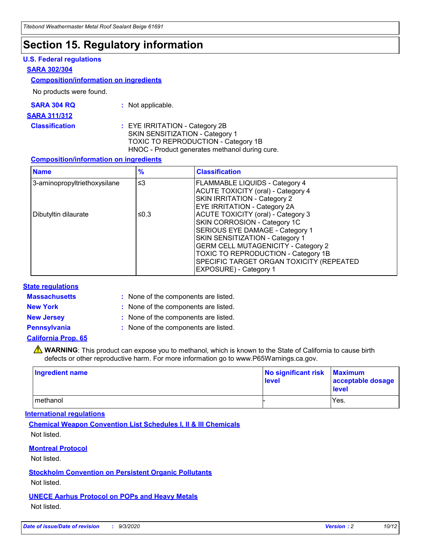## **Section 15. Regulatory information**

#### **U.S. Federal regulations**

#### **SARA 302/304**

#### **Composition/information on ingredients**

No products were found.

| SARA 304 RQ | Not applicable. |
|-------------|-----------------|
|-------------|-----------------|

#### **SARA 311/312**

#### **Classification :** EYE IRRITATION - Category 2B SKIN SENSITIZATION - Category 1 TOXIC TO REPRODUCTION - Category 1B HNOC - Product generates methanol during cure.

#### **Composition/information on ingredients**

| <b>Name</b>                  | $\frac{9}{6}$ | <b>Classification</b>                                                                                                                                                                                                                                                                                      |
|------------------------------|---------------|------------------------------------------------------------------------------------------------------------------------------------------------------------------------------------------------------------------------------------------------------------------------------------------------------------|
| 3-aminopropyltriethoxysilane | $\leq$ 3      | <b>FLAMMABLE LIQUIDS - Category 4</b><br><b>ACUTE TOXICITY (oral) - Category 4</b><br><b>SKIN IRRITATION - Category 2</b><br>EYE IRRITATION - Category 2A                                                                                                                                                  |
| Dibutyltin dilaurate         | ≤0.3          | <b>ACUTE TOXICITY (oral) - Category 3</b><br>SKIN CORROSION - Category 1C<br>SERIOUS EYE DAMAGE - Category 1<br>SKIN SENSITIZATION - Category 1<br><b>GERM CELL MUTAGENICITY - Category 2</b><br>TOXIC TO REPRODUCTION - Category 1B<br>SPECIFIC TARGET ORGAN TOXICITY (REPEATED<br>EXPOSURE) - Category 1 |

#### **State regulations**

**Massachusetts :**

: None of the components are listed.

**New York :** None of the components are listed.

**New Jersey :** None of the components are listed.

**Pennsylvania :** None of the components are listed.

#### **California Prop. 65**

WARNING: This product can expose you to methanol, which is known to the State of California to cause birth defects or other reproductive harm. For more information go to www.P65Warnings.ca.gov.

| Ingredient name | No significant risk Maximum<br>level | acceptable dosage<br><b>level</b> |
|-----------------|--------------------------------------|-----------------------------------|
| I methanol      |                                      | Yes.                              |

#### **International regulations**

**Chemical Weapon Convention List Schedules I, II & III Chemicals** Not listed.

#### **Montreal Protocol**

Not listed.

**Stockholm Convention on Persistent Organic Pollutants**

Not listed.

#### **UNECE Aarhus Protocol on POPs and Heavy Metals** Not listed.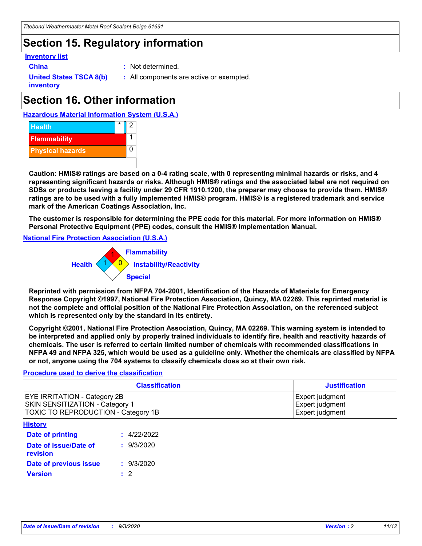## **Section 15. Regulatory information**

#### **Inventory list**

- 
- **China :** Not determined.

**United States TSCA 8(b) inventory**

**:** All components are active or exempted.

## **Section 16. Other information**





**Caution: HMIS® ratings are based on a 0-4 rating scale, with 0 representing minimal hazards or risks, and 4 representing significant hazards or risks. Although HMIS® ratings and the associated label are not required on SDSs or products leaving a facility under 29 CFR 1910.1200, the preparer may choose to provide them. HMIS® ratings are to be used with a fully implemented HMIS® program. HMIS® is a registered trademark and service mark of the American Coatings Association, Inc.**

**The customer is responsible for determining the PPE code for this material. For more information on HMIS® Personal Protective Equipment (PPE) codes, consult the HMIS® Implementation Manual.**

**National Fire Protection Association (U.S.A.)**



**Reprinted with permission from NFPA 704-2001, Identification of the Hazards of Materials for Emergency Response Copyright ©1997, National Fire Protection Association, Quincy, MA 02269. This reprinted material is not the complete and official position of the National Fire Protection Association, on the referenced subject which is represented only by the standard in its entirety.**

**Copyright ©2001, National Fire Protection Association, Quincy, MA 02269. This warning system is intended to be interpreted and applied only by properly trained individuals to identify fire, health and reactivity hazards of chemicals. The user is referred to certain limited number of chemicals with recommended classifications in NFPA 49 and NFPA 325, which would be used as a guideline only. Whether the chemicals are classified by NFPA or not, anyone using the 704 systems to classify chemicals does so at their own risk.**

#### **Procedure used to derive the classification**

| <b>Classification</b>                                                                                                | <b>Justification</b>                                  |
|----------------------------------------------------------------------------------------------------------------------|-------------------------------------------------------|
| <b>EYE IRRITATION - Category 2B</b><br><b>SKIN SENSITIZATION - Category 1</b><br>TOXIC TO REPRODUCTION - Category 1B | Expert judgment<br>Expert judgment<br>Expert judgment |
| <b>History</b>                                                                                                       |                                                       |

| .                                 |             |
|-----------------------------------|-------------|
| <b>Date of printing</b>           | : 4/22/2022 |
| Date of issue/Date of<br>revision | : 9/3/2020  |
| Date of previous issue            | : 9/3/2020  |
| <b>Version</b>                    | $\cdot$ 2   |
|                                   |             |